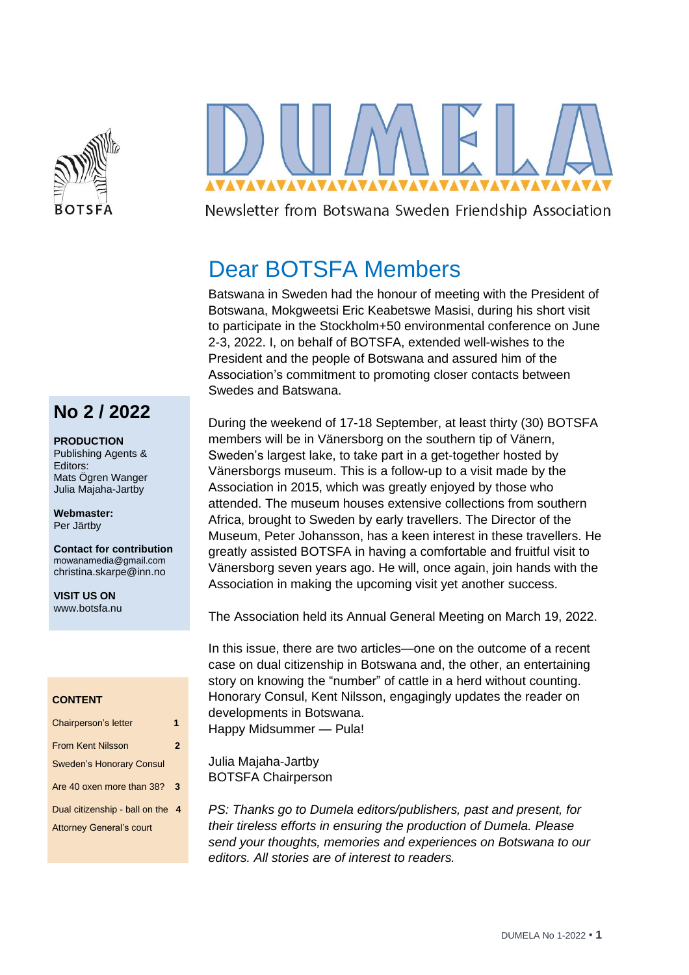



Newsletter from Botswana Sweden Friendship Association

# Dear BOTSFA Members

Batswana in Sweden had the honour of meeting with the President of Botswana, Mokgweetsi Eric Keabetswe Masisi, during his short visit to participate in the Stockholm+50 environmental conference on June 2-3, 2022. I, on behalf of BOTSFA, extended well-wishes to the President and the people of Botswana and assured him of the Association's commitment to promoting closer contacts between Swedes and Batswana.

During the weekend of 17-18 September, at least thirty (30) BOTSFA members will be in Vänersborg on the southern tip of Vänern, Sweden's largest lake, to take part in a get-together hosted by Vänersborgs museum. This is a follow-up to a visit made by the Association in 2015, which was greatly enjoyed by those who attended. The museum houses extensive collections from southern Africa, brought to Sweden by early travellers. The Director of the Museum, Peter Johansson, has a keen interest in these travellers. He greatly assisted BOTSFA in having a comfortable and fruitful visit to Vänersborg seven years ago. He will, once again, join hands with the Association in making the upcoming visit yet another success.

The Association held its Annual General Meeting on March 19, 2022.

In this issue, there are two articles—one on the outcome of a recent case on dual citizenship in Botswana and, the other, an entertaining story on knowing the "number" of cattle in a herd without counting. Honorary Consul, Kent Nilsson, engagingly updates the reader on developments in Botswana.

Happy Midsummer — Pula!

Julia Majaha-Jartby BOTSFA Chairperson

*PS: Thanks go to Dumela editors/publishers, past and present, for their tireless efforts in ensuring the production of Dumela. Please send your thoughts, memories and experiences on Botswana to our editors. All stories are of interest to readers.*

### **No 2 / 2022**

### **PRODUCTION**

Publishing Agents & Editors: Mats Ögren Wanger Julia Majaha-Jartby

**Webmaster:** Per Järtby

**Contact for contribution** [mowanamedia@gmail.com](mailto:mowanamedia@gmail.com) christina.skarpe@inn.no

**VISIT US ON** www.botsfa.nu

#### **CONTENT**

| Chairperson's letter             | 1            |
|----------------------------------|--------------|
| <b>From Kent Nilsson</b>         | $\mathbf{2}$ |
| <b>Sweden's Honorary Consul</b>  |              |
| Are 40 oxen more than 38?        | 3            |
| Dual citizenship - ball on the 4 |              |
| <b>Attorney General's court</b>  |              |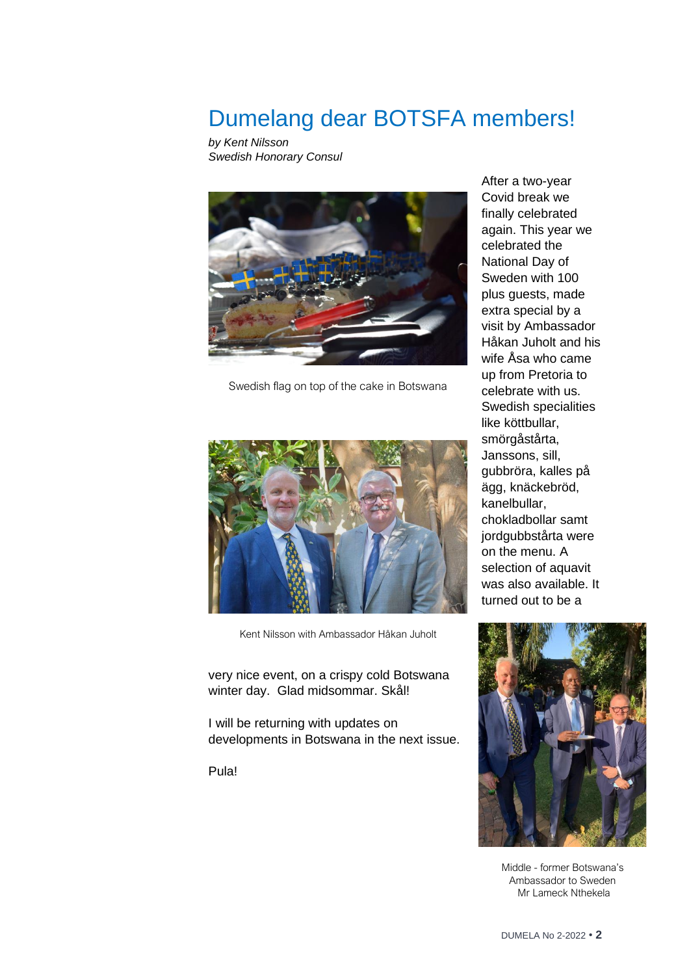## Dumelang dear BOTSFA members!

*by Kent Nilsson Swedish Honorary Consul*



Swedish flag on top of the cake in Botswana



Kent Nilsson with Ambassador Håkan Juholt

very nice event, on a crispy cold Botswana winter day. Glad midsommar. Skål!

I will be returning with updates on developments in Botswana in the next issue.

Pula!

After a two-year Covid break we finally celebrated again. This year we celebrated the National Day of Sweden with 100 plus guests, made extra special by a visit by Ambassador Håkan Juholt and his wife Åsa who came up from Pretoria to celebrate with us. Swedish specialities like köttbullar, smörgåstårta, Janssons, sill, gubbröra, kalles på ägg, knäckebröd, kanelbullar, chokladbollar samt jordgubbstårta were on the menu. A selection of aquavit was also available. It turned out to be a



Middle - former Botswana's Ambassador to Sweden Mr Lameck Nthekela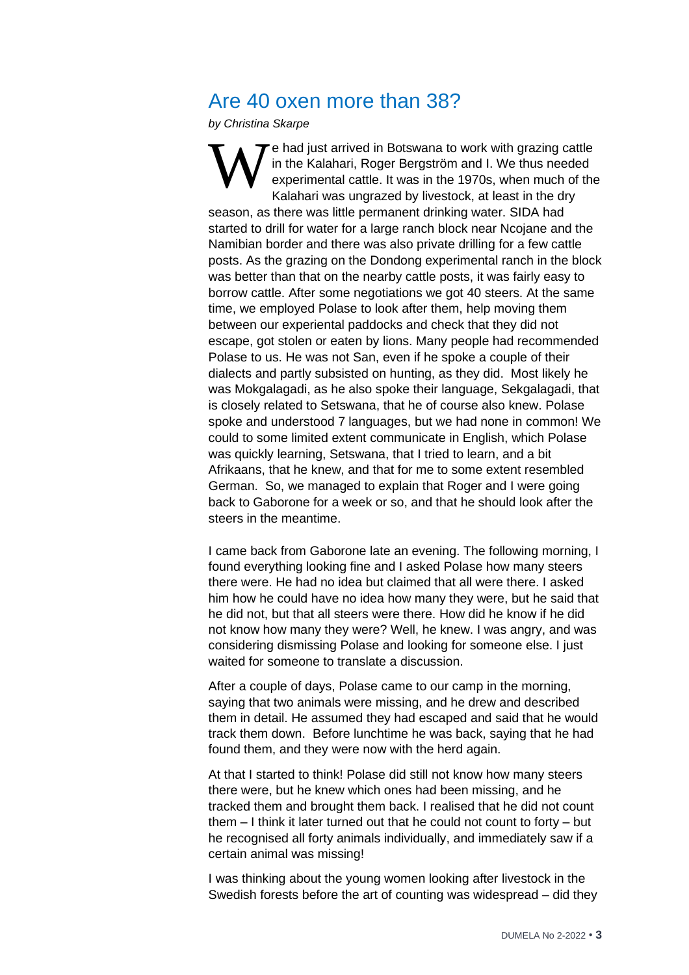## Are 40 oxen more than 38?

*by Christina Skarpe*

<sup>e</sup> had just arrived in Botswana to work with grazing cattle in the Kalahari, Roger Bergström and I. We thus needed experimental cattle. It was in the 1970s, when much of the Kalahari was ungrazed by livestock, at least in the dry season, as there was little permanent drinking water. SIDA had started to drill for water for a large ranch block near Ncojane and the Namibian border and there was also private drilling for a few cattle posts. As the grazing on the Dondong experimental ranch in the block was better than that on the nearby cattle posts, it was fairly easy to borrow cattle. After some negotiations we got 40 steers. At the same time, we employed Polase to look after them, help moving them between our experiental paddocks and check that they did not escape, got stolen or eaten by lions. Many people had recommended Polase to us. He was not San, even if he spoke a couple of their dialects and partly subsisted on hunting, as they did. Most likely he was Mokgalagadi, as he also spoke their language, Sekgalagadi, that is closely related to Setswana, that he of course also knew. Polase spoke and understood 7 languages, but we had none in common! We could to some limited extent communicate in English, which Polase was quickly learning, Setswana, that I tried to learn, and a bit Afrikaans, that he knew, and that for me to some extent resembled German. So, we managed to explain that Roger and I were going back to Gaborone for a week or so, and that he should look after the steers in the meantime. W

I came back from Gaborone late an evening. The following morning, I found everything looking fine and I asked Polase how many steers there were. He had no idea but claimed that all were there. I asked him how he could have no idea how many they were, but he said that he did not, but that all steers were there. How did he know if he did not know how many they were? Well, he knew. I was angry, and was considering dismissing Polase and looking for someone else. I just waited for someone to translate a discussion.

After a couple of days, Polase came to our camp in the morning, saying that two animals were missing, and he drew and described them in detail. He assumed they had escaped and said that he would track them down. Before lunchtime he was back, saying that he had found them, and they were now with the herd again.

At that I started to think! Polase did still not know how many steers there were, but he knew which ones had been missing, and he tracked them and brought them back. I realised that he did not count them – I think it later turned out that he could not count to forty – but he recognised all forty animals individually, and immediately saw if a certain animal was missing!

I was thinking about the young women looking after livestock in the Swedish forests before the art of counting was widespread – did they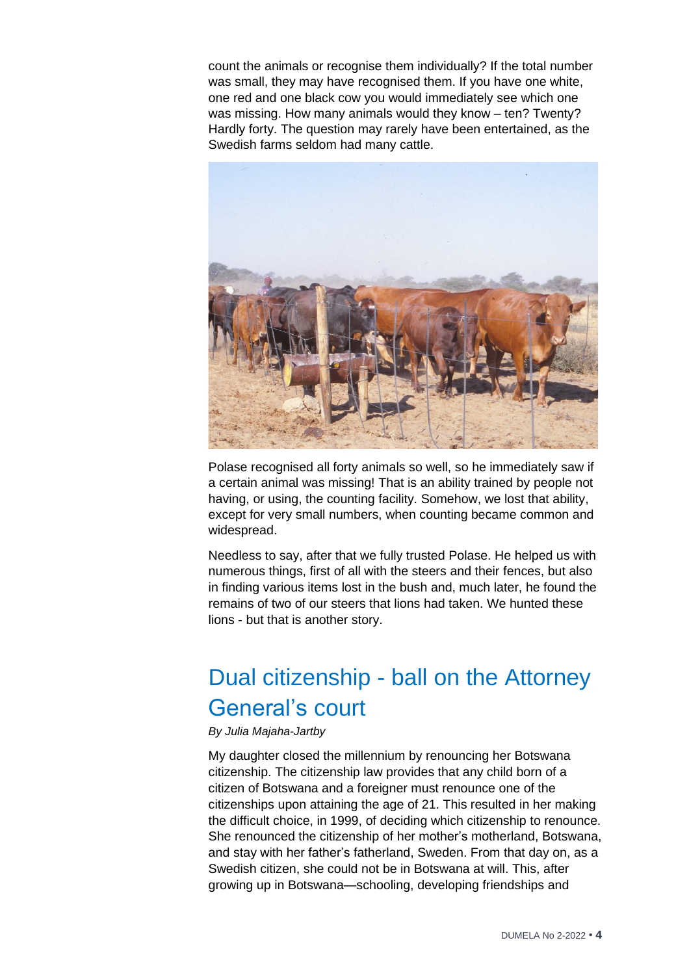count the animals or recognise them individually? If the total number was small, they may have recognised them. If you have one white, one red and one black cow you would immediately see which one was missing. How many animals would they know – ten? Twenty? Hardly forty. The question may rarely have been entertained, as the Swedish farms seldom had many cattle.



Polase recognised all forty animals so well, so he immediately saw if a certain animal was missing! That is an ability trained by people not having, or using, the counting facility. Somehow, we lost that ability, except for very small numbers, when counting became common and widespread.

Needless to say, after that we fully trusted Polase. He helped us with numerous things, first of all with the steers and their fences, but also in finding various items lost in the bush and, much later, he found the remains of two of our steers that lions had taken. We hunted these lions - but that is another story.

# Dual citizenship - ball on the Attorney General's court

### *By Julia Majaha-Jartby*

My daughter closed the millennium by renouncing her Botswana citizenship. The citizenship law provides that any child born of a citizen of Botswana and a foreigner must renounce one of the citizenships upon attaining the age of 21. This resulted in her making the difficult choice, in 1999, of deciding which citizenship to renounce. She renounced the citizenship of her mother's motherland, Botswana, and stay with her father's fatherland, Sweden. From that day on, as a Swedish citizen, she could not be in Botswana at will. This, after growing up in Botswana—schooling, developing friendships and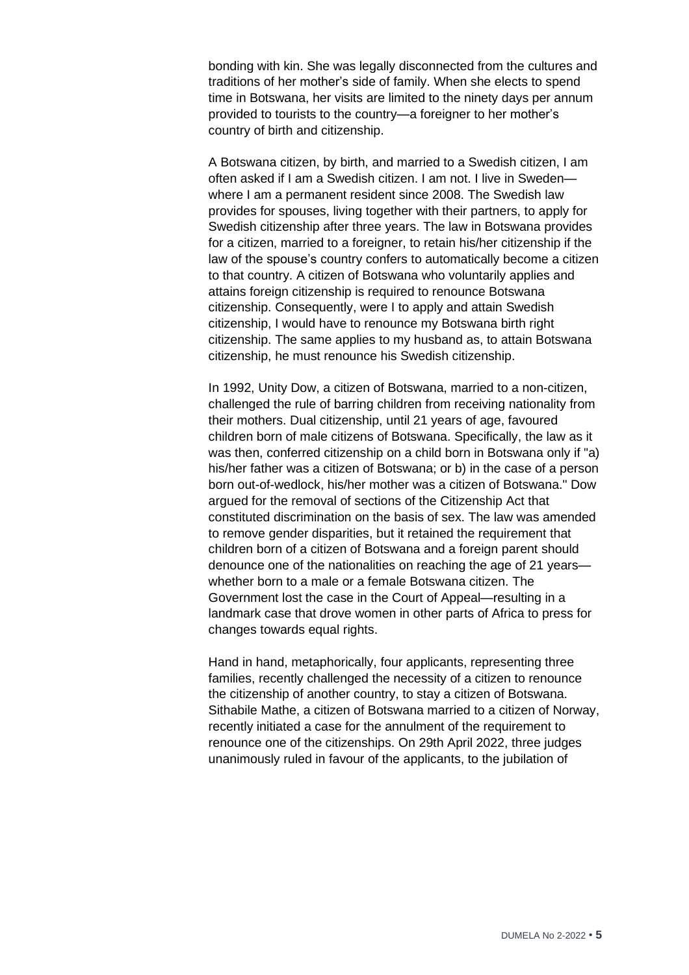bonding with kin. She was legally disconnected from the cultures and traditions of her mother's side of family. When she elects to spend time in Botswana, her visits are limited to the ninety days per annum provided to tourists to the country—a foreigner to her mother's country of birth and citizenship.

A Botswana citizen, by birth, and married to a Swedish citizen, I am often asked if I am a Swedish citizen. I am not. I live in Sweden where I am a permanent resident since 2008. The Swedish law provides for spouses, living together with their partners, to apply for Swedish citizenship after three years. The law in Botswana provides for a citizen, married to a foreigner, to retain his/her citizenship if the law of the spouse's country confers to automatically become a citizen to that country. A citizen of Botswana who voluntarily applies and attains foreign citizenship is required to renounce Botswana citizenship. Consequently, were I to apply and attain Swedish citizenship, I would have to renounce my Botswana birth right citizenship. The same applies to my husband as, to attain Botswana citizenship, he must renounce his Swedish citizenship.

In 1992, Unity Dow, a citizen of Botswana, married to a non-citizen, challenged the rule of barring children from receiving nationality from their mothers. Dual citizenship, until 21 years of age, favoured children born of male citizens of Botswana. Specifically, the law as it was then, conferred citizenship on a child born in Botswana only if "a) his/her father was a citizen of Botswana; or b) in the case of a person born out-of-wedlock, his/her mother was a citizen of Botswana." Dow argued for the removal of sections of the Citizenship Act that constituted discrimination on the basis of sex. The law was amended to remove gender disparities, but it retained the requirement that children born of a citizen of Botswana and a foreign parent should denounce one of the nationalities on reaching the age of 21 years whether born to a male or a female Botswana citizen. The Government lost the case in the Court of Appeal—resulting in a landmark case that drove women in other parts of Africa to press for changes towards equal rights.

Hand in hand, metaphorically, four applicants, representing three families, recently challenged the necessity of a citizen to renounce the citizenship of another country, to stay a citizen of Botswana. Sithabile Mathe, a citizen of Botswana married to a citizen of Norway, recently initiated a case for the annulment of the requirement to renounce one of the citizenships. On 29th April 2022, three judges unanimously ruled in favour of the applicants, to the jubilation of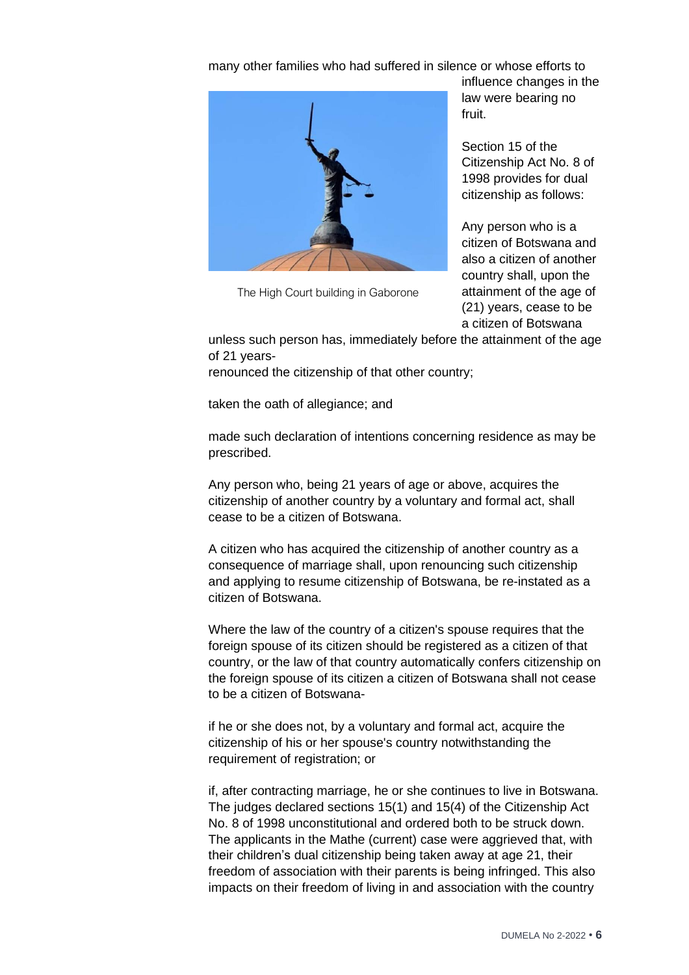many other families who had suffered in silence or whose efforts to



The High Court building in Gaborone

influence changes in the law were bearing no fruit.

Section 15 of the Citizenship Act No. 8 of 1998 provides for dual citizenship as follows:

Any person who is a citizen of Botswana and also a citizen of another country shall, upon the attainment of the age of (21) years, cease to be a citizen of Botswana

unless such person has, immediately before the attainment of the age of 21 years-

renounced the citizenship of that other country;

taken the oath of allegiance; and

made such declaration of intentions concerning residence as may be prescribed.

Any person who, being 21 years of age or above, acquires the citizenship of another country by a voluntary and formal act, shall cease to be a citizen of Botswana.

A citizen who has acquired the citizenship of another country as a consequence of marriage shall, upon renouncing such citizenship and applying to resume citizenship of Botswana, be re-instated as a citizen of Botswana.

Where the law of the country of a citizen's spouse requires that the foreign spouse of its citizen should be registered as a citizen of that country, or the law of that country automatically confers citizenship on the foreign spouse of its citizen a citizen of Botswana shall not cease to be a citizen of Botswana-

if he or she does not, by a voluntary and formal act, acquire the citizenship of his or her spouse's country notwithstanding the requirement of registration; or

if, after contracting marriage, he or she continues to live in Botswana. The judges declared sections 15(1) and 15(4) of the Citizenship Act No. 8 of 1998 unconstitutional and ordered both to be struck down. The applicants in the Mathe (current) case were aggrieved that, with their children's dual citizenship being taken away at age 21, their freedom of association with their parents is being infringed. This also impacts on their freedom of living in and association with the country